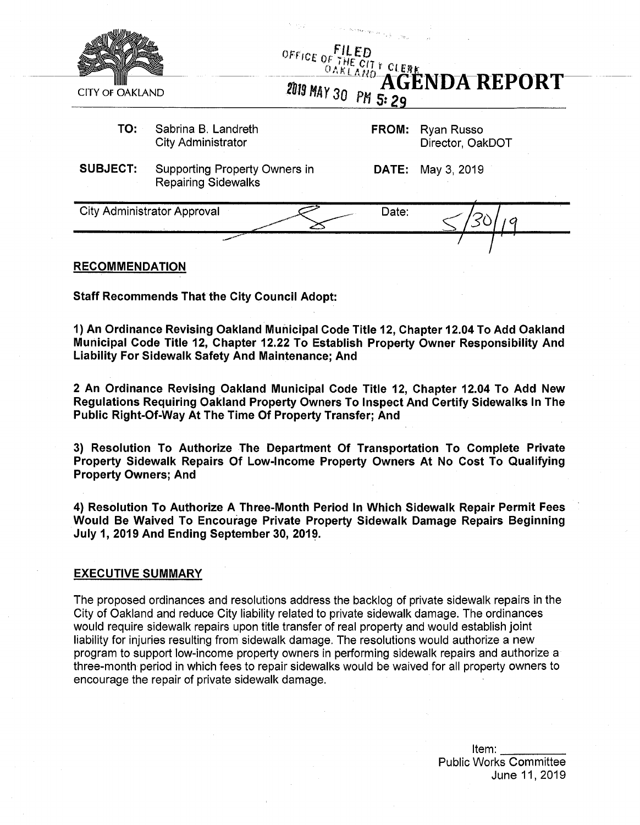|                                             |                                                                    | $\label{eq:1} \begin{split} \mathcal{L}^{(n)}(\mathcal{C})\leq \left\ \partial_{\theta}\mathcal{L}(\mathbf{y}_{\mathbf{f}},\partial_{\mathbf{y}_{\mathbf{f}}},\partial_{\theta})\right\ _{\mathcal{F}}+\int_{\mathcal{C}}\mathcal{H}_{\mathbf{y}_{\mathbf{f}}}^{\mathcal{C}}\end{split}$<br>OFFICE OF THE CIT T CLEBE NDA REPORT |       |                                |
|---------------------------------------------|--------------------------------------------------------------------|----------------------------------------------------------------------------------------------------------------------------------------------------------------------------------------------------------------------------------------------------------------------------------------------------------------------------------|-------|--------------------------------|
| <b>CITY OF OAKLAND</b>                      |                                                                    |                                                                                                                                                                                                                                                                                                                                  |       |                                |
| TO:                                         | Sabrina B. Landreth<br><b>City Administrator</b>                   |                                                                                                                                                                                                                                                                                                                                  | FROM: | Ryan Russo<br>Director, OakDOT |
| <b>SUBJECT:</b>                             | <b>Supporting Property Owners in</b><br><b>Repairing Sidewalks</b> |                                                                                                                                                                                                                                                                                                                                  | DATE: | May 3, 2019                    |
| <b>City Administrator Approval</b><br>Date: |                                                                    |                                                                                                                                                                                                                                                                                                                                  |       |                                |
|                                             |                                                                    |                                                                                                                                                                                                                                                                                                                                  |       |                                |

#### **RECOMMENDATION**

**Staff Recommends That the City Council Adopt:**

**1) An Ordinance Revising Oakland Municipal Code Title 12, Chapter 12.04 To Add Oakland Municipal Code Title 12, Chapter 12.22 To Establish Property Owner Responsibility And Liability For Sidewalk Safety And Maintenance; And**

**2 An Ordinance Revising Oakland Municipal Code Title 12, Chapter 12.04 To Add New Regulations Requiring Oakland Property Owners To Inspect And Certify Sidewalks In The Public Right-Of-Way At The Time Of Property Transfer; And**

**3) Resolution To Authorize The Department Of Transportation To Complete Private Property Sidewalk Repairs Of Low-Income Property Owners At No Cost To Qualifying Property Owners; And**

**4) Resolution To Authorize A Three-Month Period In Which Sidewalk Repair Permit Fees Would Be Waived To Encourage Private Property Sidewalk Damage Repairs Beginning July 1, 2019 And Ending September 30, 2019.**

#### **EXECUTIVE SUMMARY**

The proposed ordinances and resolutions address the backlog of private sidewalk repairs in the City of Oakland and reduce City liability related to private sidewalk damage. The ordinances would require sidewalk repairs upon title transfer of real property and would establish joint liability for injuries resulting from sidewalk damage. The resolutions would authorize a new program to support low-income property owners in performing sidewalk repairs and authorize a three-month period in which fees to repair sidewalks would be waived for all property owners to encourage the repair of private sidewalk damage.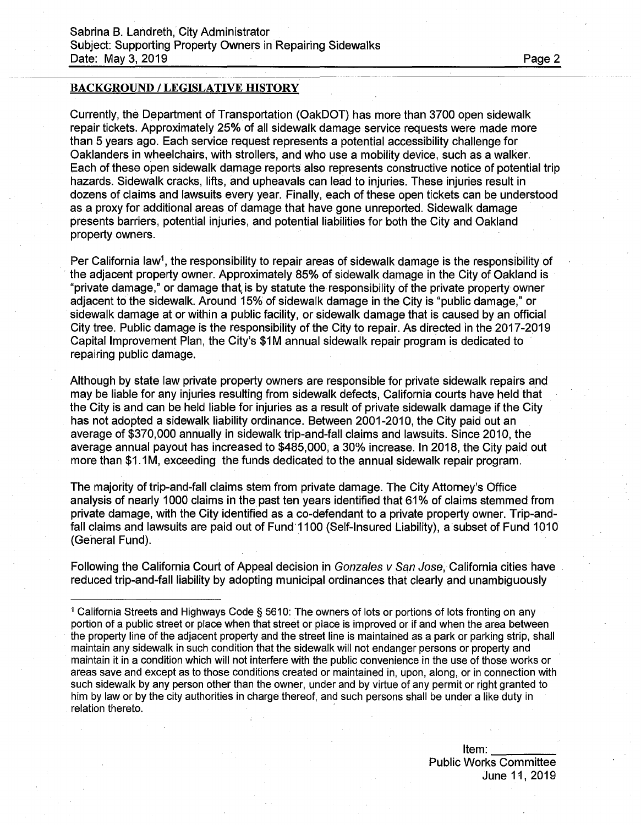#### BACKGROUND / LEGISLATIVE HISTORY

Currently, the Department of Transportation (OakDOT) has more than 3700 open sidewalk repair tickets. Approximately 25% of all sidewalk damage service requests were made more than 5 years ago. Each service request represents a potential accessibility challenge for Oaklanders in wheelchairs, with strollers, and who use a mobility device, such as a walker. Each of these open sidewalk damage reports also represents constructive notice of potential trip hazards. Sidewalk cracks, lifts, and upheavals can lead to injuries. These injuries result in dozens of claims and lawsuits every year. Finally, each of these open tickets can be understood as a proxy for additional areas of damage that have gone unreported. Sidewalk damage presents barriers, potential injuries, and potential liabilities for both the City and Oakland property owners.

Per California law<sup>1</sup>, the responsibility to repair areas of sidewalk damage is the responsibility of the adjacent property owner. Approximately 85% of sidewalk damage in the City of Oakland is "private damage," or damage that is by statute the responsibility of the private property owner adjacent to the sidewalk. Around 15% of sidewalk damage in the City is "public damage," or sidewalk damage at or within a public facility, or sidewalk damage that is caused by an official City tree. Public damage is the responsibility of the City to repair. As directed in the 2017-2019 Capital Improvement Plan, the City's \$1M annual sidewalk repair program is dedicated to repairing public damage.

Although by state law private property owners are responsible for private sidewalk repairs and may be liable for any injuries resulting from sidewalk defects, California courts have held that the City is and can be held liable for injuries as a result of private sidewalk damage if the City has not adopted a sidewalk liability ordinance. Between 2001-2010, the City paid out an average of \$370,000 annually in sidewalk trip-and-fall claims and lawsuits. Since 2010, the average annual payout has increased to \$485,000, a 30% increase. In 2018, the City paid out more than \$1,1M, exceeding the funds dedicated to the annual sidewalk repair program.

The majority of trip-and-fall claims stem from private damage. The City Attorney's Office analysis of nearly 1000 claims in the past ten years identified that 61% of claims stemmed from private damage, with the City identified as a co-defendant to a private property owner. Trip-andfall claims and lawsuits are paid out of Fund 1100 (Self-Insured Liability), a subset of Fund 1010 (General Fund).

Following the California Court of Appeal decision in *Gonzales v San Jose,* California cities have reduced trip-and-fall liability by adopting municipal ordinances that clearly and unambiguously

<sup>1</sup> California Streets and Highways Code § 5610: The owners of lots or portions of lots fronting on any portion of a public street or place when that street or place is improved or if and when the area between the property line of the adjacent property and the street line is maintained as a park or parking strip, shall maintain any sidewalk in such condition that the sidewalk will not endanger persons or property and maintain it in a condition which will not interfere with the public convenience in the use of those works or areas save and except as to those conditions created or maintained in, upon, along, or in connection with such sidewalk by any person other than the owner, under and by virtue of any permit or right granted to him by law or by the city authorities in charge thereof, and such persons shall be under a like duty in relation thereto.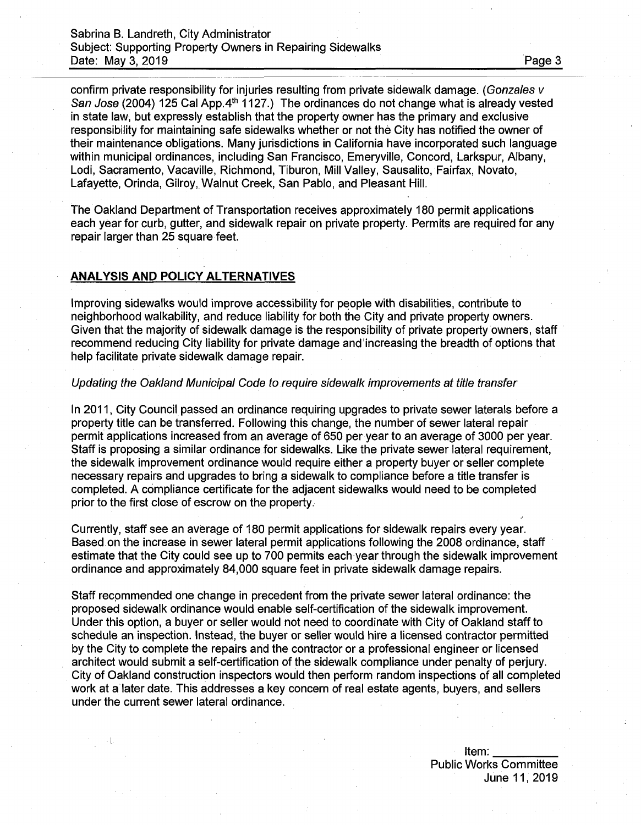confirm private responsibility for injuries resulting from private sidewalk damage. (*Gonzales v* San *Jose* (2004) 125 Cal App. 4<sup>th</sup> 1127.) The ordinances do not change what is already vested in state law, but expressly establish that the property owner has the primary and exclusive responsibility for maintaining safe sidewalks whether or not the City has notified the owner of their maintenance obligations. Many jurisdictions in California have incorporated such language within municipal ordinances, including San Francisco, Emeryville, Concord, Larkspur, Albany, Lodi, Sacramento, Vacaville, Richmond, Tiburon, Mill Valley, Sausalito, Fairfax, Novato, Lafayette, Orinda, Gilroy, Walnut Creek, San Pablo, and Pleasant Hill.

The Oakland Department of Transportation receives approximately 180 permit applications each year for curb, gutter, and sidewalk repair on private property. Permits are required for any repair larger than 25 square feet.

## **ANALYSIS AND POLICY ALTERNATIVES**

Improving sidewalks would improve accessibility for people with disabilities, contribute to neighborhood walkability, and reduce liability for both the City and private property owners. Given that the majority of sidewalk damage is the responsibility of private property owners, staff recommend reducing City liability for private damage and increasing the breadth of options that help facilitate private sidewalk damage repair.

#### *Updating the Oakland Municipal Code to require sidewalk improvements at title transfer*

In 2011, City Council passed an ordinance requiring upgrades to private sewer laterals before a property title can be transferred. Following this change, the number of sewer lateral repair permit applications increased from an average of 650 per year to an average of 3000 per year. Staff is proposing a similar ordinance for sidewalks. Like the private sewer lateral requirement, the sidewalk improvement ordinance would require either a property buyer or seller complete necessary repairs and upgrades to bring a sidewalk to compliance before a title transfer is completed. A compliance certificate for the adjacent sidewalks would need to be completed prior to the first close of escrow on the property.

Currently, staff see an average of 180 permit applications for sidewalk repairs every year. Based on the increase in sewer lateral permit applications following the 2008 ordinance, staff estimate that the City could see up to 700 permits each year through the sidewalk improvement ordinance and approximately 84,000 square feet in private sidewalk damage repairs.

Staff recommended one change in precedent from the private sewer lateral ordinance: the proposed sidewalk ordinance would enable self-certification of the sidewalk improvement. Linder this option, a buyer or seller would not need to coordinate with City of Oakland staff to schedule an inspection. Instead, the buyer or seller would hire a licensed contractor permitted by the City to complete the repairs and the contractor or a professional engineer or licensed architect would submit a self-certification of the sidewalk compliance under penalty of perjury. City of Oakland construction inspectors would then perform random inspections of all completed work at a later date. This addresses a key concern of real estate agents, buyers, and sellers under the current sewer lateral ordinance.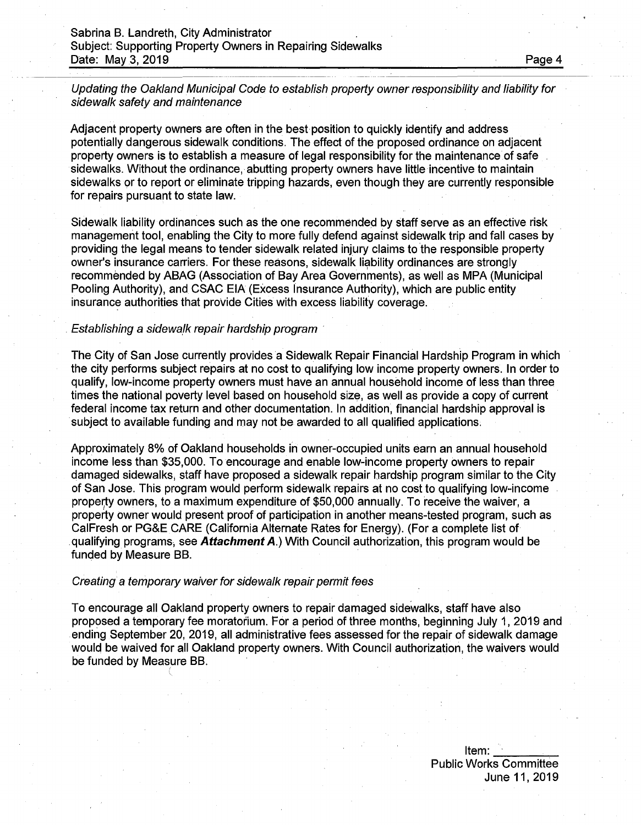*Updating the Oakland Municipal Code to establish property owner responsibility and liability for sidewalk safety and maintenance*

Adjacent property owners are often in the best position to quickly identify and address potentially dangerous sidewalk conditions. The effect of the proposed ordinance on adjacent property owners is to establish a measure of legal responsibility for the maintenance of safe sidewalks. Without the ordinance, abutting property owners have little incentive to maintain sidewalks or to report or eliminate tripping hazards, even though they are currently responsible for repairs pursuant to state law.

Sidewalk liability ordinances such as the one recommended by staff serve as an effective risk management tool, enabling the City to more fully defend against sidewalk trip and fall cases by providing the legal means to tender sidewalk related injury claims to the responsible property owner's insurance carriers. For these reasons, sidewalk liability ordinances are strongly recommended by ABAG (Association of Bay Area Governments), as well as MPA (Municipal Pooling Authority), and CSAC EIA (Excess Insurance Authority), which are public entity insurance authorities that provide Cities with excess liability coverage.

#### *Establishing a sidewalk repair hardship program*

The City of San Jose currently provides a Sidewalk Repair Financial Hardship Program in which the city performs subject repairs at no cost to qualifying low income property owners. In order to qualify, low-income property owners must have an annual household income of less than three times the national poverty level based on household size, as well as provide a copy of current federal income tax return and other documentation. In addition, financial hardship approval is subject to available funding and may not be awarded to all qualified applications.

Approximately 8% of Oakland households in owner-occupied units earn an annual household income less than \$35,000. To encourage and enable low-income property owners to repair damaged sidewalks, staff have proposed a sidewalk repair hardship program similar to the City of San Jose. This program would perform sidewalk repairs at no cost to qualifying low-income property owners, to a maximum expenditure of \$50,000 annually. To receive the waiver, a property owner would present proof of participation in another means-tested program, such as CalFresh or PG&E CARE (California Alternate Rates for Energy). (For a complete list of qualifying programs, see *Attachment A.)* With Council authorization, this program would be funded by Measure BB.

#### *Creating* a *temporary waiver for sidewalk repair permit fees*

**/**

To encourage all Oakland property owners to repair damaged sidewalks, staff have also proposed a temporary fee moratorium. For a period of three months, beginning July 1,2019 and ending September 20, 2019, all administrative fees assessed for the repair of sidewalk damage would be waived for all Oakland property owners. With Council authorization, the waivers would be funded by Measure BB.

Item:  $\frac{1}{\sqrt{1-\frac{1}{2}}}\frac{1}{\sqrt{1-\frac{1}{2}}\frac{1}{\sqrt{1-\frac{1}{2}}}}$ Public Works Committee June 11, 2019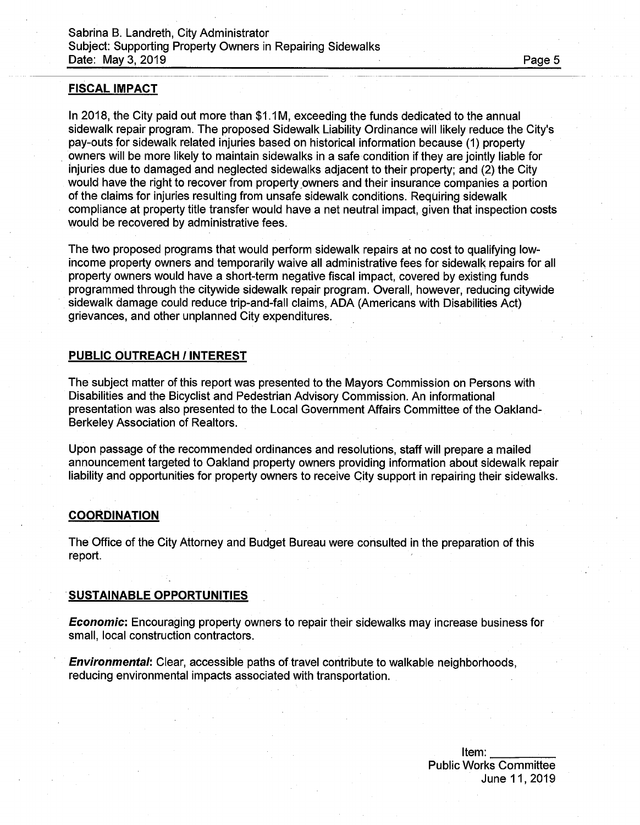#### **FISCAL IMPACT**

In 2018, the City paid out more than \$1.1M, exceeding the funds dedicated to the annual sidewalk repair program. The proposed Sidewalk Liability Ordinance will likely reduce the City's pay-outs for sidewalk related injuries based on historical information because (1) property owners will be more likely to maintain sidewalks in a safe condition if they are jointly liable for injuries due to damaged and neglected sidewalks adjacent to their property; and (2) the City would have the right to recover from property owners and their insurance companies a portion of the claims for injuries resulting from unsafe sidewalk conditions. Requiring sidewalk compliance at property title transfer would have a net neutral impact, given that inspection costs would be recovered by administrative fees.

The two proposed programs that would perform sidewalk repairs at no cost to qualifying lowincome property owners and temporarily waive all administrative fees for sidewalk repairs for all property owners would have a short-term negative fiscal impact, covered by existing funds programmed through the citywide sidewalk repair program. Overall, however, reducing citywide sidewalk damage could reduce trip-and-fall claims, ADA (Americans with Disabilities Act) grievances, and other unplanned City expenditures.

### **PUBLIC OUTREACH / INTEREST**

The subject matter of this report was presented to the Mayors Commission on Persons with Disabilities and the Bicyclist and Pedestrian Advisory Commission. An informational presentation was also presented to the Local Government Affairs Committee of the Oakland-Berkeley Association of Realtors.

Upon passage of the recommended ordinances and resolutions, staff will prepare a mailed announcement targeted to Oakland property owners providing information about sidewalk repair liability and opportunities for property owners to receive City support in repairing their sidewalks.

#### **COORDINATION**

The Office of the City Attorney and Budget Bureau were consulted in the preparation of this report.

#### **SUSTAINABLE OPPORTUNITIES**

*Economic:* Encouraging property owners to repair their sidewalks may increase business for small, local construction contractors.

*Environmental*: Clear, accessible paths of travel contribute to walkable neighborhoods, reducing environmental impacts associated with transportation.

> Item:\_\_\_\_\_\_\_ \_ Public Works Committee June 11,2019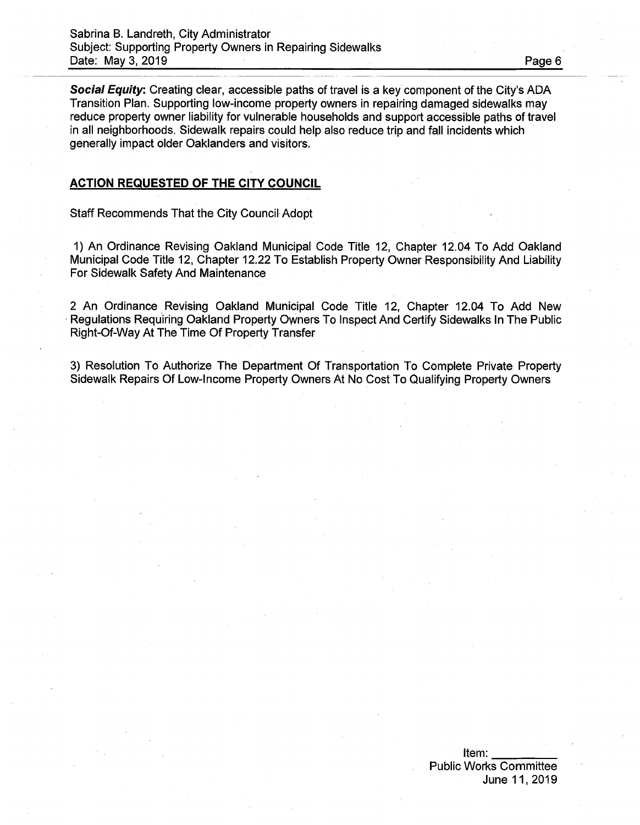*Social Equity.* Creating clear, accessible paths of travel is a key component of the City's ADA Transition Plan. Supporting low-income property owners in repairing damaged sidewalks may reduce property owner liability for vulnerable households and support accessible paths of travel in all neighborhoods. Sidewalk repairs could help also reduce trip and fall incidents which generally impact older Oaklanders and visitors.

## **ACTION REQUESTED OF THE CITY COUNCIL**

Staff Recommends That the City Council Adopt

1) An Ordinance Revising Oakland Municipal Code Title 12, Chapter 12.04 To Add Oakland Municipal Code Title 12, Chapter 12.22 To Establish Property Owner Responsibility And Liability For Sidewalk Safety And Maintenance

2 An Ordinance Revising Oakland Municipal Code Title 12, Chapter 12.04 To Add New Regulations Requiring Oakland Property Owners To Inspect And Certify Sidewalks In The Public Right-Of-Way At The Time Of Property Transfer

3) Resolution To Authorize The Department Of Transportation To Complete Private Property Sidewalk Repairs Of Low-Income Property Owners At No Cost To Qualifying Property Owners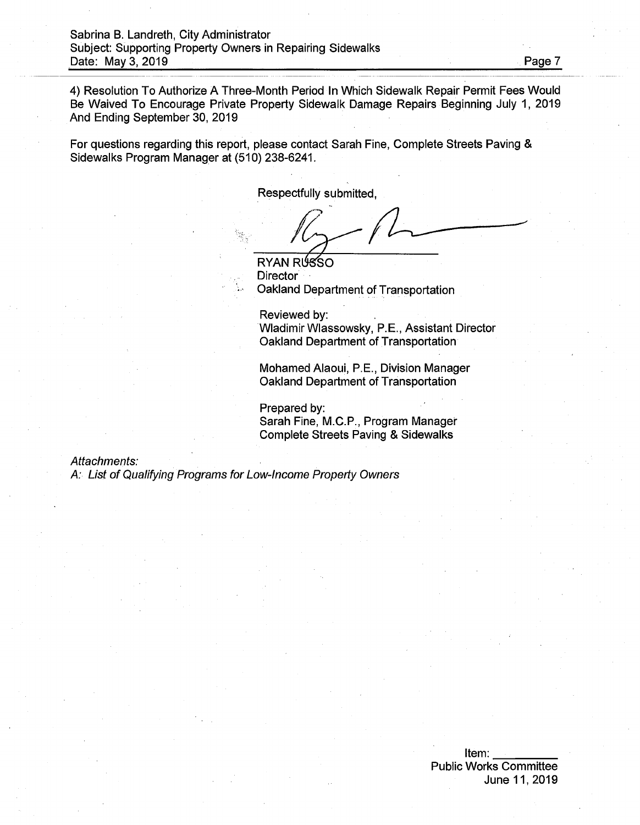4) Resolution To Authorize A Three-Month Period In Which Sidewalk Repair Permit Fees Would Be Waived To Encourage Private Property Sidewalk Damage Repairs Beginning July 1, 2019 And Ending September 30, 2019

For questions regarding this report, please contact Sarah Fine, Complete Streets Paving & Sidewalks Program Manager at (510) 238-6241.

Respectfully submitted,

RYAN RUSSO **Director** Oakland Department of Transportation

Reviewed by: Wladimir Wlassowsky, P.E., Assistant Director Oakland Department of Transportation

Mohamed Alaoui, P.E., Division Manager Oakland Department of Transportation

Prepared by: Sarah Fine, M.C.P., Program Manager Complete Streets Paving & Sidewalks

*Attachments:*

*A: List of Qualifying Programs for Low-Income Property Owners*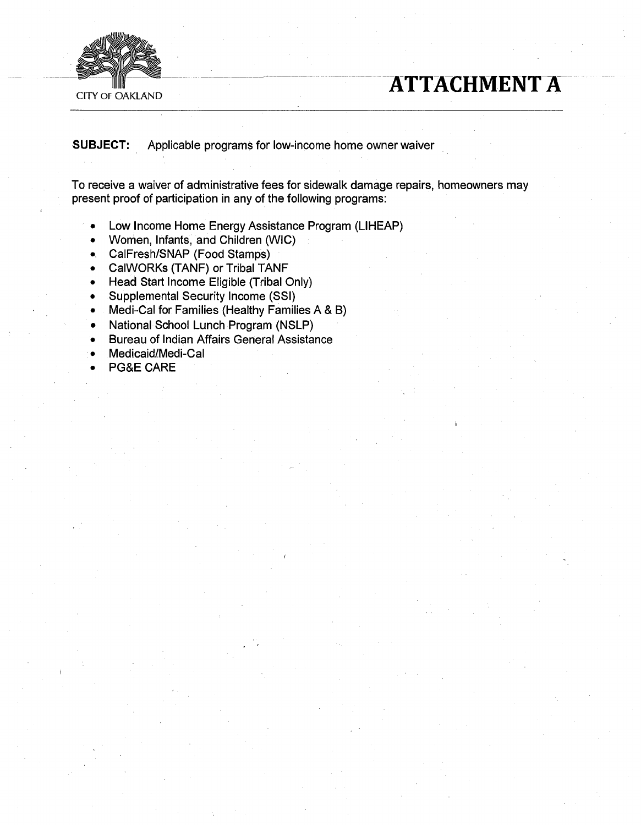

# **CITY OF OAKLAND**

**SUBJECT:** Applicable programs for low-income home owner waiver

To receive a waiver of administrative fees for sidewalk damage repairs, homeowners may present proof of participation in any of the following programs:

- Low Income Home Energy Assistance Program (LIHEAP)  $\bullet$
- Women, Infants, and Children (WIC)
- CalFresh/SNAP (Food Stamps)
- CalWORKs (TANF) or Tribal TANF
- Head Start Income Eligible (Tribal Only)
- Supplemental Security Income (SSI)
- Medi-Cal for Families (Healthy Families A & B)  $\bullet$
- National School Lunch Program (NSLP)
- Bureau of Indian Affairs General Assistance
- Medicaid/Medi-Cal
- PG&E CARE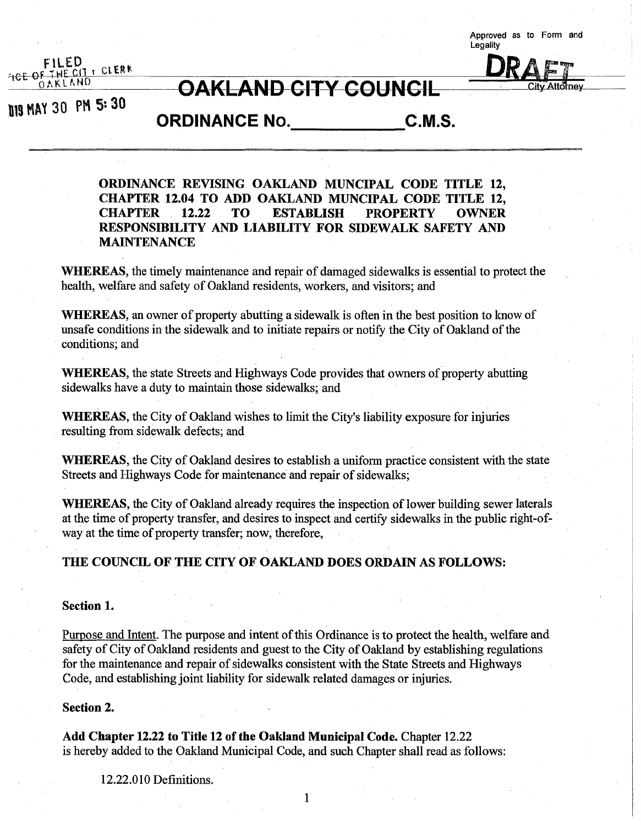**Approved as to Form and Legality**

City-Attorney



# **OAKLAND CITY COUNGIL**

**<sup>113</sup> MAY 30 PH 5= 30**

**ORDINANCE No. C.M.S.**

**ORDINANCE REVISING OAKLAND MUNCIPAL CODE TITLE 12, CHAPTER 12.04 TO ADD OAKLAND MUNCIPAL CODE TITLE 12, CHAPTER 12.22 TO ESTABLISH PROPERTY OWNER RESPONSIBILITY AND LIABILITY FOR SIDEWALK SAFETY AND MAINTENANCE**

**WHEREAS,** the timely maintenance and repair of damaged sidewalks is essential to protect the health, welfare and safety of Oakland residents, workers, and visitors; and

**WHEREAS**, an owner of property abutting a sidewalk is often in the best position to know of unsafe conditions in the sidewalk and to initiate repairs or notify the City of Oakland of the conditions; and

**WHEREAS**, the state Streets and Highways Code provides that owners of property abutting sidewalks have a duty to maintain those sidewalks; and

**WHEREAS,** the City of Oakland wishes to limit the City's liability exposure for injuries resulting from sidewalk defects; and

WHEREAS, the City of Oakland desires to establish a uniform practice consistent with the state Streets and Highways Code for maintenance and repair of sidewalks;

**WHEREAS,** the City of Oakland already requires the inspection of lower building sewer laterals at the time of property transfer, and desires to inspect and certify sidewalks in the public right-ofway at the time of property transfer; now, therefore,

# **THE COUNCIL OF THE CITY OF OAKLAND DOES ORDAIN AS FOLLOWS:**

#### **Section 1.**

Purpose and Intent. The purpose and intent of this Ordinance is to protect the health, welfare and safety of City of Oakland residents and guest to the City of Oakland by establishing regulations for the maintenance and repair of sidewalks consistent with the State Streets and Highways Code, and establishing joint liability for sidewalk related damages or injuries.

#### **Section 2.**

**Add Chapter 12.22 to Title 12 ofthe Oakland Municipal Code.** Chapter 12.22 is hereby added to the Oakland Municipal Code, and such Chapter shall read as follows:

12.22.010 Definitions.

1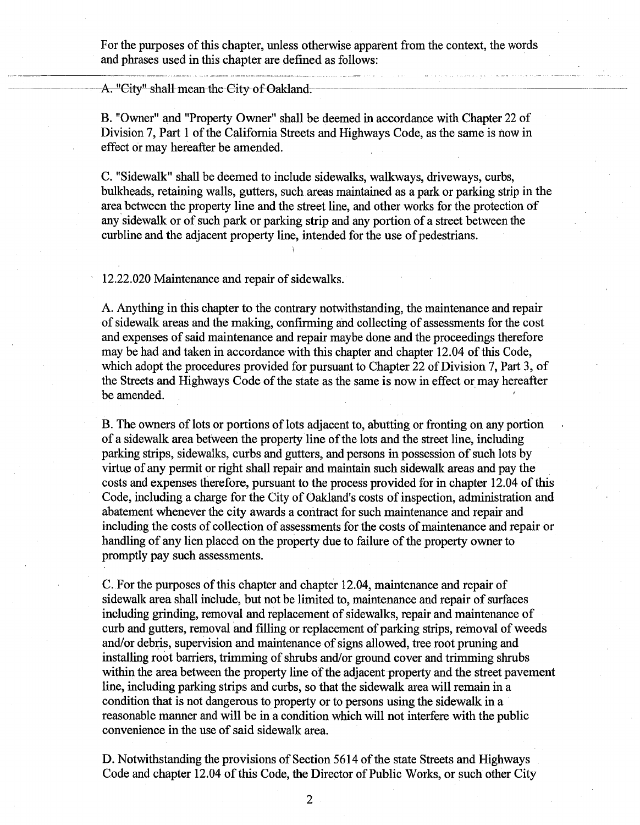For the purposes of this chapter, unless otherwise apparent from the context, the words and phrases used in this chapter are defined as follows:

A. "City" shall mean the City of Oakland.

B. "Owner" and "Property Owner" shall be deemed in accordance with Chapter 22 of Division 7, Part 1 of the California Streets and Highways Code, as the same is now in effect or may hereafter be amended.

C. "Sidewalk" shall be deemed to include sidewalks, walkways, driveways, curbs, bulkheads, retaining walls, gutters, such areas maintained as a park or parking strip in the area between the property line and the street line, and other works for the protection of any sidewalk or of such park or parking strip and any portion of a street between the curbline and the adjacent property line, intended for the use of pedestrians.

12.22.020 Maintenance and repair of sidewalks.

A. Anything in this chapter to the contrary notwithstanding, the maintenance and repair of sidewalk areas and the making, confirming and collecting of assessments for the cost and expenses of said maintenance and repair maybe done and the proceedings therefore may be had and taken in accordance with this chapter and chapter 12.04 of this Code, which adopt the procedures provided for pursuant to Chapter 22 of Division 7, Part 3, of the Streets and Highways Code of the state as the same is now in effect or may hereafter be amended.

B. The owners of lots or portions of lots adjacent to, abutting or fronting on any portion of a sidewalk area between the property line of the lots and the street line, including parking strips, sidewalks, curbs and gutters, and persons in possession of such lots by virtue of any permit or right shall repair and maintain such sidewalk areas and pay the costs and expenses therefore, pursuant to the process provided for in chapter 12.04 of this Code, including a charge for the City of Oakland's costs of inspection, administration and abatement whenever the city awards a contract for such maintenance and repair and including the costs of collection of assessments for the costs of maintenance and repair or handling of any lien placed on the property due to failure of the property owner to promptly pay such assessments.

C. For the purposes of this chapter and chapter 12.04, maintenance and repair of sidewalk area shall include, but not be limited to, maintenance and repair of surfaces including grinding, removal and replacement of sidewalks, repair and maintenance of curb and gutters, removal and filling or replacement of parking strips, removal of weeds and/or debris, supervision and maintenance of signs allowed, tree root pruning and installing root barriers, trimming of shrubs and/or ground cover and trimming shrubs within the area between the property line of the adjacent property and the street pavement line, including parking strips and curbs, so that the sidewalk area will remain in a condition that is not dangerous to property or to persons using the sidewalk in a reasonable manner and will be in a condition which will not interfere with the public convenience in the use of said sidewalk area.

D. Notwithstanding the provisions of Section 5614 of the state Streets and Highways Code and chapter 12.04 of this Code, the Director of Public Works, or such other City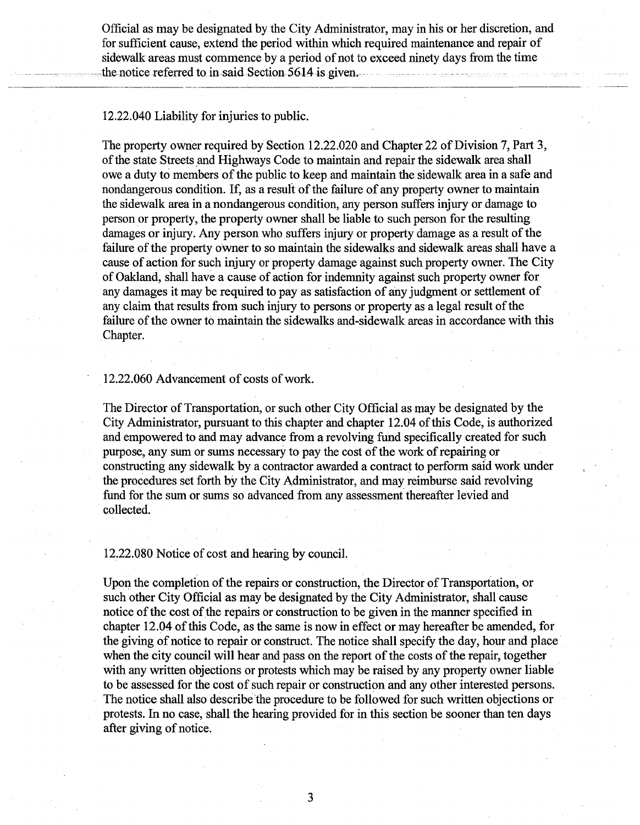Official as may be designated by the City Administrator, may in his or her discretion, and for sufficient cause, extend the period within which required maintenance and repair of sidewalk areas must commence by a period of not to exceed ninety days from the time the notice referred to in said Section 5614 is given.

12.22.040 Liability for injuries to public.

The property owner required by Section 12.22.020 and Chapter 22 of Division 7, Part 3, of the state Streets and Highways Code to maintain and repair the sidewalk area shall owe a duty to members of the public to keep and maintain the sidewalk area in a safe and nondangerous condition. If, as a result of the failure of any property owner to maintain the sidewalk area in a nondangerous condition, any person suffers injury or damage to person or property, the property owner shall be liable to such person for the resulting damages or injury. Any person who suffers injury or property damage as a result of the failure of the property owner to so maintain the sidewalks and sidewalk areas shall have a cause of action for such injury or property damage against such property owner. The City of Oakland, shall have a cause of action for indemnity against such property owner for any damages it may be required to pay as satisfaction of any judgment or settlement of any claim that results from such injury to persons or property as a legal result of the failure of the owner to maintain the sidewalks and-sidewalk areas in accordance with this Chapter.

# 12.22.060 Advancement of costs of work.

The Director of Transportation, or such other City Official as may be designated by the City Administrator, pursuant to this chapter and chapter 12.04 ofthis Code, is authorized and empowered to and may advance from a revolving fund specifically created for such purpose, any sum or sums necessary to pay the cost of the work of repairing or constructing any sidewalk by a contractor awarded a contract to perform said work under the procedures set forth by the City Administrator, and may reimburse said revolving fund for the sum or sums so advanced from any assessment thereafter levied and collected.

12.22.080 Notice of cost and hearing by council.

Upon the completion of the repairs or construction, the Director of Transportation, or such other City Official as may be designated by the City Administrator, shall cause notice of the cost of the repairs or construction to be given in the manner specified in chapter 12.04 ofthis Code, as the same is now in effect or may hereafter be amended, for the giving of notice to repair or construct. The notice shall specify the day, hour and place when the city council will hear and pass on the report of the costs of the repair, together with any written objections or protests which may be raised by any property owner liable to be assessed for the cost of such repair or construction and any other interested persons. The notice shall also describe the procedure to be followed for such written objections or protests. In no case, shall the hearing provided for in this section be sooner than ten days after giving of notice.

3